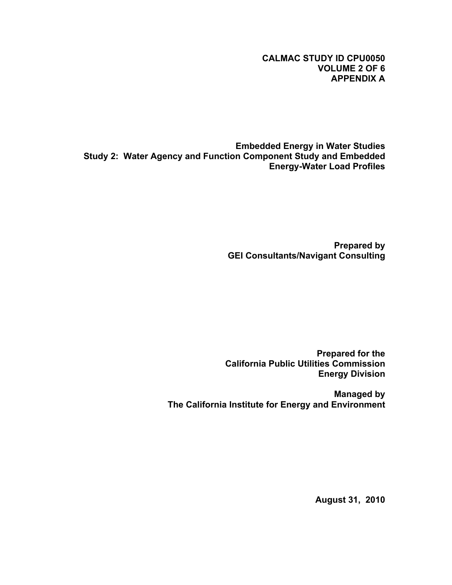## **CALMAC STUDY ID CPU0050 VOLUME 2 OF 6 APPENDIX A**

**Embedded Energy in Water Studies Study 2: Water Agency and Function Component Study and Embedded Energy-Water Load Profiles**

> **Prepared by GEI Consultants/Navigant Consulting**

**Prepared for the California Public Utilities Commission Energy Division**

**Managed by The California Institute for Energy and Environment**

**August 31, 2010**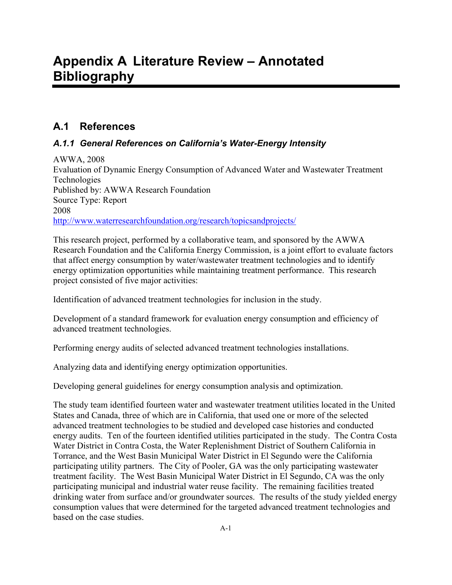## **A.1 References**

## *A.1.1 General References on California's Water-Energy Intensity*

AWWA, 2008 Evaluation of Dynamic Energy Consumption of Advanced Water and Wastewater Treatment Technologies Published by: AWWA Research Foundation Source Type: Report 2008 <http://www.waterresearchfoundation.org/research/topicsandprojects/>

This research project, performed by a collaborative team, and sponsored by the AWWA Research Foundation and the California Energy Commission, is a joint effort to evaluate factors that affect energy consumption by water/wastewater treatment technologies and to identify energy optimization opportunities while maintaining treatment performance. This research project consisted of five major activities:

Identification of advanced treatment technologies for inclusion in the study.

Development of a standard framework for evaluation energy consumption and efficiency of advanced treatment technologies.

Performing energy audits of selected advanced treatment technologies installations.

Analyzing data and identifying energy optimization opportunities.

Developing general guidelines for energy consumption analysis and optimization.

The study team identified fourteen water and wastewater treatment utilities located in the United States and Canada, three of which are in California, that used one or more of the selected advanced treatment technologies to be studied and developed case histories and conducted energy audits. Ten of the fourteen identified utilities participated in the study. The Contra Costa Water District in Contra Costa, the Water Replenishment District of Southern California in Torrance, and the West Basin Municipal Water District in El Segundo were the California participating utility partners. The City of Pooler, GA was the only participating wastewater treatment facility. The West Basin Municipal Water District in El Segundo, CA was the only participating municipal and industrial water reuse facility. The remaining facilities treated drinking water from surface and/or groundwater sources. The results of the study yielded energy consumption values that were determined for the targeted advanced treatment technologies and based on the case studies.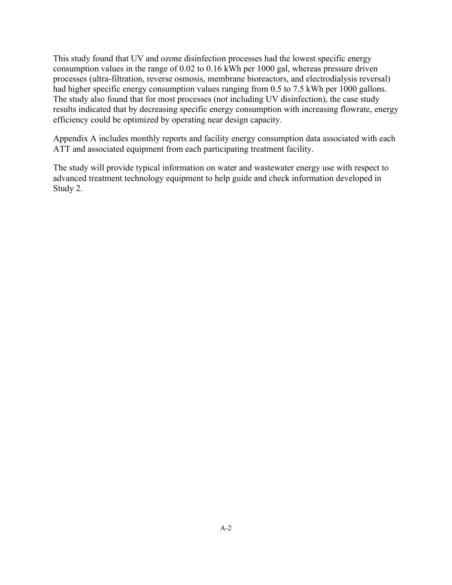This study found that UV and ozone disinfection processes had the lowest specific energy consumption values in the range of 0.02 to 0.16 kWh per 1000 gal, whereas pressure driven processes (ultra-filtration, reverse osmosis, membrane bioreactors, and electrodialysis reversal) had higher specific energy consumption values ranging from 0.5 to 7.5 kWh per 1000 gallons. The study also found that for most processes (not including UV disinfection), the case study results indicated that by decreasing specific energy consumption with increasing flowrate, energy efficiency could be optimized by operating near design capacity.

Appendix A includes monthly reports and facility energy consumption data associated with each ATT and associated equipment from each participating treatment facility.

The study will provide typical information on water and wastewater energy use with respect to advanced treatment technology equipment to help guide and check information developed in Study 2.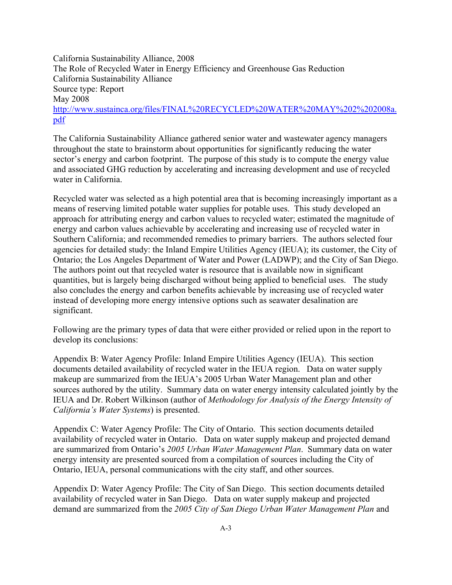California Sustainability Alliance, 2008 The Role of Recycled Water in Energy Efficiency and Greenhouse Gas Reduction California Sustainability Alliance Source type: Report May 2008 [http://www.sustainca.org/files/FINAL%20RECYCLED%20WATER%20MAY%202%202008a.](http://www.sustainca.org/files/FINAL%20RECYCLED%20WATER%20MAY%202%202008a.pdf) [pdf](http://www.sustainca.org/files/FINAL%20RECYCLED%20WATER%20MAY%202%202008a.pdf)

The California Sustainability Alliance gathered senior water and wastewater agency managers throughout the state to brainstorm about opportunities for significantly reducing the water sector's energy and carbon footprint. The purpose of this study is to compute the energy value and associated GHG reduction by accelerating and increasing development and use of recycled water in California.

Recycled water was selected as a high potential area that is becoming increasingly important as a means of reserving limited potable water supplies for potable uses. This study developed an approach for attributing energy and carbon values to recycled water; estimated the magnitude of energy and carbon values achievable by accelerating and increasing use of recycled water in Southern California; and recommended remedies to primary barriers. The authors selected four agencies for detailed study: the Inland Empire Utilities Agency (IEUA); its customer, the City of Ontario; the Los Angeles Department of Water and Power (LADWP); and the City of San Diego. The authors point out that recycled water is resource that is available now in significant quantities, but is largely being discharged without being applied to beneficial uses. The study also concludes the energy and carbon benefits achievable by increasing use of recycled water instead of developing more energy intensive options such as seawater desalination are significant.

Following are the primary types of data that were either provided or relied upon in the report to develop its conclusions:

Appendix B: Water Agency Profile: Inland Empire Utilities Agency (IEUA). This section documents detailed availability of recycled water in the IEUA region. Data on water supply makeup are summarized from the IEUA's 2005 Urban Water Management plan and other sources authored by the utility. Summary data on water energy intensity calculated jointly by the IEUA and Dr. Robert Wilkinson (author of *Methodology for Analysis of the Energy Intensity of California's Water Systems*) is presented.

Appendix C: Water Agency Profile: The City of Ontario. This section documents detailed availability of recycled water in Ontario. Data on water supply makeup and projected demand are summarized from Ontario's *2005 Urban Water Management Plan*. Summary data on water energy intensity are presented sourced from a compilation of sources including the City of Ontario, IEUA, personal communications with the city staff, and other sources.

Appendix D: Water Agency Profile: The City of San Diego. This section documents detailed availability of recycled water in San Diego. Data on water supply makeup and projected demand are summarized from the *2005 City of San Diego Urban Water Management Plan* and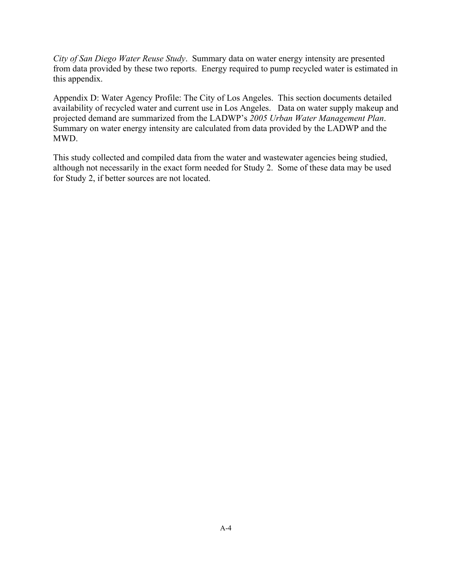*City of San Diego Water Reuse Study*. Summary data on water energy intensity are presented from data provided by these two reports. Energy required to pump recycled water is estimated in this appendix.

Appendix D: Water Agency Profile: The City of Los Angeles. This section documents detailed availability of recycled water and current use in Los Angeles. Data on water supply makeup and projected demand are summarized from the LADWP's *2005 Urban Water Management Plan*. Summary on water energy intensity are calculated from data provided by the LADWP and the MWD.

This study collected and compiled data from the water and wastewater agencies being studied, although not necessarily in the exact form needed for Study 2. Some of these data may be used for Study 2, if better sources are not located.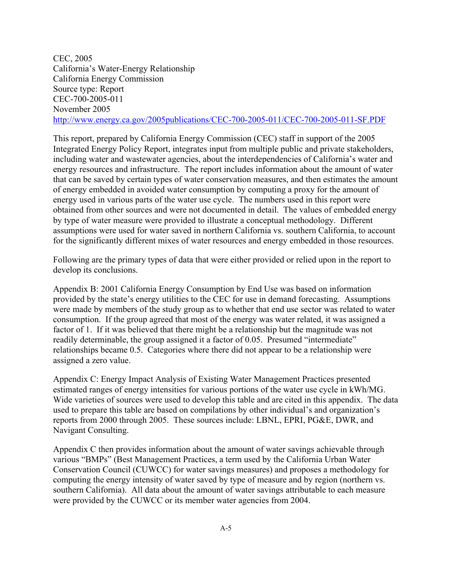CEC, 2005 California's Water-Energy Relationship California Energy Commission Source type: Report CEC-700-2005-011 November 2005 <http://www.energy.ca.gov/2005publications/CEC-700-2005-011/CEC-700-2005-011-SF.PDF>

This report, prepared by California Energy Commission (CEC) staff in support of the 2005 Integrated Energy Policy Report, integrates input from multiple public and private stakeholders, including water and wastewater agencies, about the interdependencies of California's water and energy resources and infrastructure. The report includes information about the amount of water that can be saved by certain types of water conservation measures, and then estimates the amount of energy embedded in avoided water consumption by computing a proxy for the amount of energy used in various parts of the water use cycle. The numbers used in this report were obtained from other sources and were not documented in detail. The values of embedded energy by type of water measure were provided to illustrate a conceptual methodology. Different assumptions were used for water saved in northern California vs. southern California, to account for the significantly different mixes of water resources and energy embedded in those resources.

Following are the primary types of data that were either provided or relied upon in the report to develop its conclusions.

Appendix B: 2001 California Energy Consumption by End Use was based on information provided by the state's energy utilities to the CEC for use in demand forecasting. Assumptions were made by members of the study group as to whether that end use sector was related to water consumption. If the group agreed that most of the energy was water related, it was assigned a factor of 1. If it was believed that there might be a relationship but the magnitude was not readily determinable, the group assigned it a factor of 0.05. Presumed "intermediate" relationships became 0.5. Categories where there did not appear to be a relationship were assigned a zero value.

Appendix C: Energy Impact Analysis of Existing Water Management Practices presented estimated ranges of energy intensities for various portions of the water use cycle in kWh/MG. Wide varieties of sources were used to develop this table and are cited in this appendix. The data used to prepare this table are based on compilations by other individual's and organization's reports from 2000 through 2005. These sources include: LBNL, EPRI, PG&E, DWR, and Navigant Consulting.

Appendix C then provides information about the amount of water savings achievable through various "BMPs" (Best Management Practices, a term used by the California Urban Water Conservation Council (CUWCC) for water savings measures) and proposes a methodology for computing the energy intensity of water saved by type of measure and by region (northern vs. southern California). All data about the amount of water savings attributable to each measure were provided by the CUWCC or its member water agencies from 2004.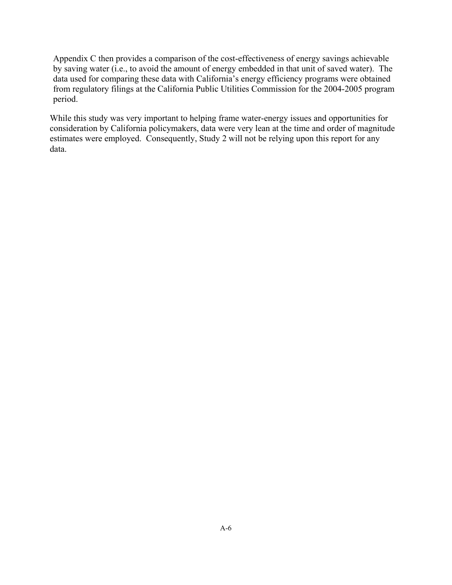Appendix C then provides a comparison of the cost-effectiveness of energy savings achievable by saving water (i.e., to avoid the amount of energy embedded in that unit of saved water). The data used for comparing these data with California's energy efficiency programs were obtained from regulatory filings at the California Public Utilities Commission for the 2004-2005 program period.

While this study was very important to helping frame water-energy issues and opportunities for consideration by California policymakers, data were very lean at the time and order of magnitude estimates were employed. Consequently, Study 2 will not be relying upon this report for any data.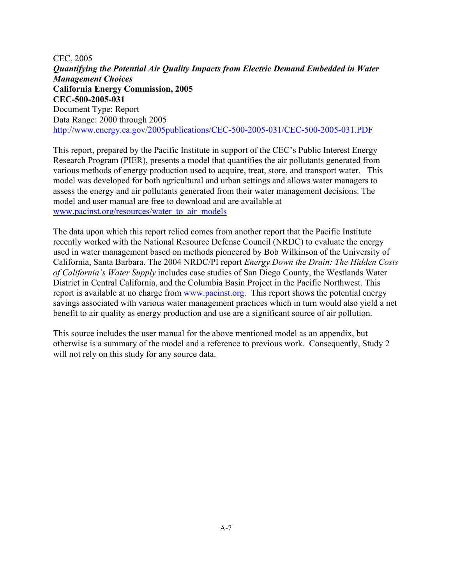CEC, 2005 *Quantifying the Potential Air Quality Impacts from Electric Demand Embedded in Water Management Choices*  **California Energy Commission, 2005 CEC-500-2005-031**  Document Type: Report Data Range: 2000 through 2005 <http://www.energy.ca.gov/2005publications/CEC-500-2005-031/CEC-500-2005-031.PDF>

This report, prepared by the Pacific Institute in support of the CEC's Public Interest Energy Research Program (PIER), presents a model that quantifies the air pollutants generated from various methods of energy production used to acquire, treat, store, and transport water. This model was developed for both agricultural and urban settings and allows water managers to assess the energy and air pollutants generated from their water management decisions. The model and user manual are free to download and are available at [www.pacinst.org/resources/water\\_to\\_air\\_models](http://www.pacinst.org/resources/water_to_air_models)

The data upon which this report relied comes from another report that the Pacific Institute recently worked with the National Resource Defense Council (NRDC) to evaluate the energy used in water management based on methods pioneered by Bob Wilkinson of the University of California, Santa Barbara. The 2004 NRDC/PI report *Energy Down the Drain: The Hidden Costs of California's Water Supply* includes case studies of San Diego County, the Westlands Water District in Central California, and the Columbia Basin Project in the Pacific Northwest. This report is available at no charge from [www.pacinst.org.](http://www.pacinst.org/) This report shows the potential energy savings associated with various water management practices which in turn would also yield a net benefit to air quality as energy production and use are a significant source of air pollution.

This source includes the user manual for the above mentioned model as an appendix, but otherwise is a summary of the model and a reference to previous work. Consequently, Study 2 will not rely on this study for any source data.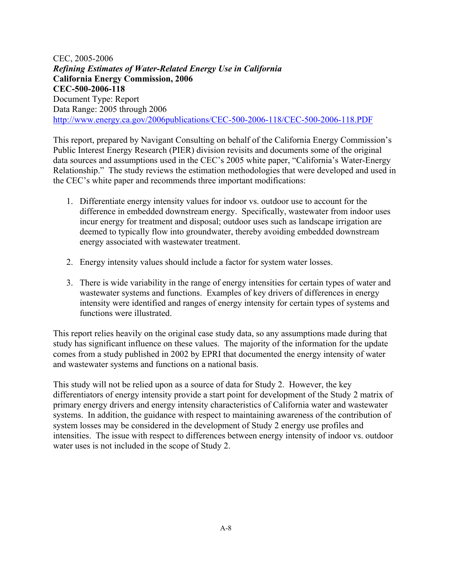CEC, 2005-2006 *Refining Estimates of Water-Related Energy Use in California*  **California Energy Commission, 2006 CEC-500-2006-118**  Document Type: Report Data Range: 2005 through 2006 <http://www.energy.ca.gov/2006publications/CEC-500-2006-118/CEC-500-2006-118.PDF>

This report, prepared by Navigant Consulting on behalf of the California Energy Commission's Public Interest Energy Research (PIER) division revisits and documents some of the original data sources and assumptions used in the CEC's 2005 white paper, "California's Water-Energy Relationship." The study reviews the estimation methodologies that were developed and used in the CEC's white paper and recommends three important modifications:

- 1. Differentiate energy intensity values for indoor vs. outdoor use to account for the difference in embedded downstream energy. Specifically, wastewater from indoor uses incur energy for treatment and disposal; outdoor uses such as landscape irrigation are deemed to typically flow into groundwater, thereby avoiding embedded downstream energy associated with wastewater treatment.
- 2. Energy intensity values should include a factor for system water losses.
- 3. There is wide variability in the range of energy intensities for certain types of water and wastewater systems and functions. Examples of key drivers of differences in energy intensity were identified and ranges of energy intensity for certain types of systems and functions were illustrated.

This report relies heavily on the original case study data, so any assumptions made during that study has significant influence on these values. The majority of the information for the update comes from a study published in 2002 by EPRI that documented the energy intensity of water and wastewater systems and functions on a national basis.

This study will not be relied upon as a source of data for Study 2. However, the key differentiators of energy intensity provide a start point for development of the Study 2 matrix of primary energy drivers and energy intensity characteristics of California water and wastewater systems. In addition, the guidance with respect to maintaining awareness of the contribution of system losses may be considered in the development of Study 2 energy use profiles and intensities. The issue with respect to differences between energy intensity of indoor vs. outdoor water uses is not included in the scope of Study 2.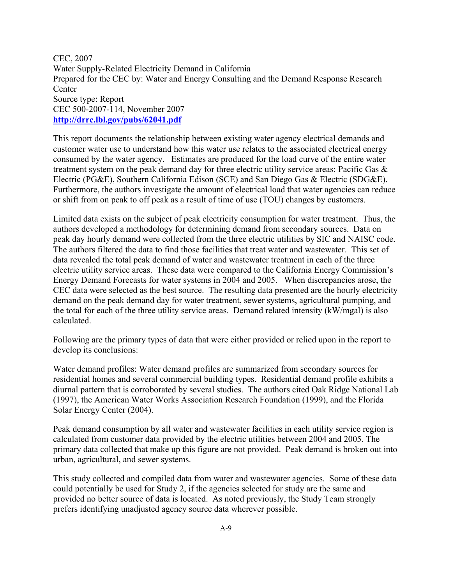CEC, 2007 Water Supply-Related Electricity Demand in California Prepared for the CEC by: Water and Energy Consulting and the Demand Response Research **Center** Source type: Report CEC 500-2007-114, November 2007 **<http://drrc.lbl.gov/pubs/62041.pdf>**

This report documents the relationship between existing water agency electrical demands and customer water use to understand how this water use relates to the associated electrical energy consumed by the water agency. Estimates are produced for the load curve of the entire water treatment system on the peak demand day for three electric utility service areas: Pacific Gas & Electric (PG&E), Southern California Edison (SCE) and San Diego Gas & Electric (SDG&E). Furthermore, the authors investigate the amount of electrical load that water agencies can reduce or shift from on peak to off peak as a result of time of use (TOU) changes by customers.

Limited data exists on the subject of peak electricity consumption for water treatment. Thus, the authors developed a methodology for determining demand from secondary sources. Data on peak day hourly demand were collected from the three electric utilities by SIC and NAISC code. The authors filtered the data to find those facilities that treat water and wastewater. This set of data revealed the total peak demand of water and wastewater treatment in each of the three electric utility service areas. These data were compared to the California Energy Commission's Energy Demand Forecasts for water systems in 2004 and 2005. When discrepancies arose, the CEC data were selected as the best source. The resulting data presented are the hourly electricity demand on the peak demand day for water treatment, sewer systems, agricultural pumping, and the total for each of the three utility service areas. Demand related intensity (kW/mgal) is also calculated.

Following are the primary types of data that were either provided or relied upon in the report to develop its conclusions:

Water demand profiles: Water demand profiles are summarized from secondary sources for residential homes and several commercial building types. Residential demand profile exhibits a diurnal pattern that is corroborated by several studies. The authors cited Oak Ridge National Lab (1997), the American Water Works Association Research Foundation (1999), and the Florida Solar Energy Center (2004).

Peak demand consumption by all water and wastewater facilities in each utility service region is calculated from customer data provided by the electric utilities between 2004 and 2005. The primary data collected that make up this figure are not provided. Peak demand is broken out into urban, agricultural, and sewer systems.

This study collected and compiled data from water and wastewater agencies. Some of these data could potentially be used for Study 2, if the agencies selected for study are the same and provided no better source of data is located. As noted previously, the Study Team strongly prefers identifying unadjusted agency source data wherever possible.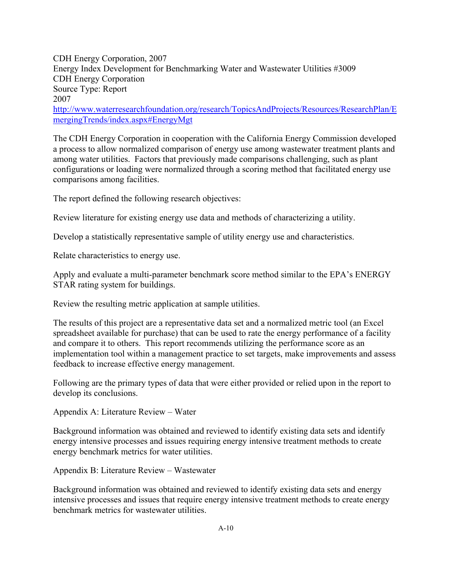CDH Energy Corporation, 2007 Energy Index Development for Benchmarking Water and Wastewater Utilities #3009 CDH Energy Corporation Source Type: Report 2007 [http://www.waterresearchfoundation.org/research/TopicsAndProjects/Resources/ResearchPlan/E](http://www.waterresearchfoundation.org/research/TopicsAndProjects/Resources/ResearchPlan/EmergingTrends/index.aspx#EnergyMgt) [mergingTrends/index.aspx#EnergyMgt](http://www.waterresearchfoundation.org/research/TopicsAndProjects/Resources/ResearchPlan/EmergingTrends/index.aspx#EnergyMgt)

The CDH Energy Corporation in cooperation with the California Energy Commission developed a process to allow normalized comparison of energy use among wastewater treatment plants and among water utilities. Factors that previously made comparisons challenging, such as plant configurations or loading were normalized through a scoring method that facilitated energy use comparisons among facilities.

The report defined the following research objectives:

Review literature for existing energy use data and methods of characterizing a utility.

Develop a statistically representative sample of utility energy use and characteristics.

Relate characteristics to energy use.

Apply and evaluate a multi-parameter benchmark score method similar to the EPA's ENERGY STAR rating system for buildings.

Review the resulting metric application at sample utilities.

The results of this project are a representative data set and a normalized metric tool (an Excel spreadsheet available for purchase) that can be used to rate the energy performance of a facility and compare it to others. This report recommends utilizing the performance score as an implementation tool within a management practice to set targets, make improvements and assess feedback to increase effective energy management.

Following are the primary types of data that were either provided or relied upon in the report to develop its conclusions.

Appendix A: Literature Review – Water

Background information was obtained and reviewed to identify existing data sets and identify energy intensive processes and issues requiring energy intensive treatment methods to create energy benchmark metrics for water utilities.

Appendix B: Literature Review – Wastewater

Background information was obtained and reviewed to identify existing data sets and energy intensive processes and issues that require energy intensive treatment methods to create energy benchmark metrics for wastewater utilities.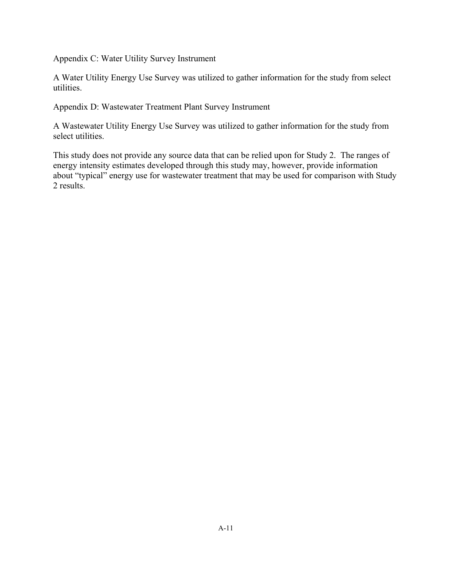Appendix C: Water Utility Survey Instrument

A Water Utility Energy Use Survey was utilized to gather information for the study from select utilities.

Appendix D: Wastewater Treatment Plant Survey Instrument

A Wastewater Utility Energy Use Survey was utilized to gather information for the study from select utilities.

This study does not provide any source data that can be relied upon for Study 2. The ranges of energy intensity estimates developed through this study may, however, provide information about "typical" energy use for wastewater treatment that may be used for comparison with Study 2 results.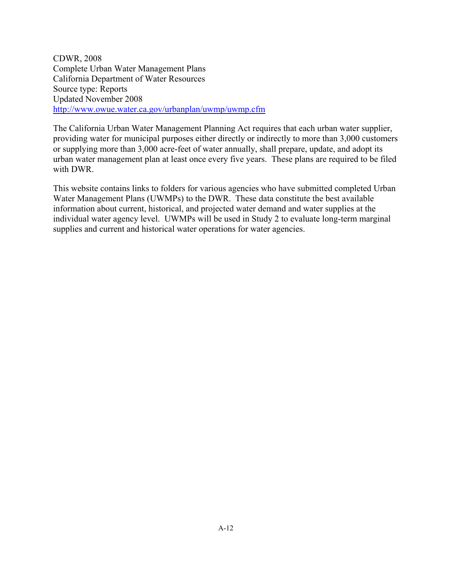CDWR, 2008 Complete Urban Water Management Plans California Department of Water Resources Source type: Reports Updated November 2008 <http://www.owue.water.ca.gov/urbanplan/uwmp/uwmp.cfm>

The California Urban Water Management Planning Act requires that each urban water supplier, providing water for municipal purposes either directly or indirectly to more than 3,000 customers or supplying more than 3,000 acre-feet of water annually, shall prepare, update, and adopt its urban water management plan at least once every five years. These plans are required to be filed with DWR.

This website contains links to folders for various agencies who have submitted completed Urban Water Management Plans (UWMPs) to the DWR. These data constitute the best available information about current, historical, and projected water demand and water supplies at the individual water agency level. UWMPs will be used in Study 2 to evaluate long-term marginal supplies and current and historical water operations for water agencies.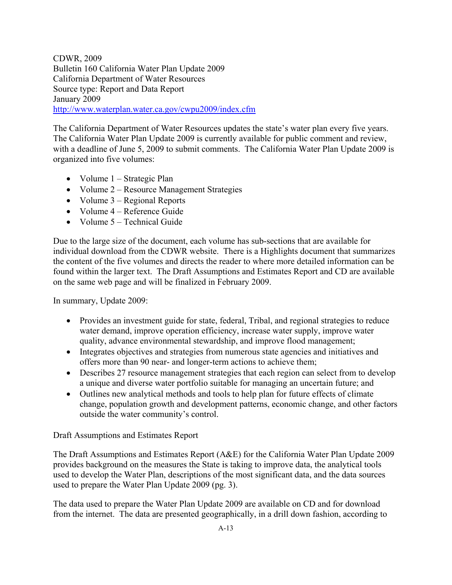CDWR, 2009 Bulletin 160 California Water Plan Update 2009 California Department of Water Resources Source type: Report and Data Report January 2009 <http://www.waterplan.water.ca.gov/cwpu2009/index.cfm>

The California Department of Water Resources updates the state's water plan every five years. The California Water Plan Update 2009 is currently available for public comment and review, with a deadline of June 5, 2009 to submit comments. The California Water Plan Update 2009 is organized into five volumes:

- $\bullet$  Volume  $1 -$  Strategic Plan
- Volume 2 Resource Management Strategies
- $\bullet$  Volume 3 Regional Reports
- Volume 4 Reference Guide
- $\bullet$  Volume 5 Technical Guide

Due to the large size of the document, each volume has sub-sections that are available for individual download from the CDWR website. There is a Highlights document that summarizes the content of the five volumes and directs the reader to where more detailed information can be found within the larger text. The Draft Assumptions and Estimates Report and CD are available on the same web page and will be finalized in February 2009.

In summary, Update 2009:

- ! Provides an investment guide for state, federal, Tribal, and regional strategies to reduce water demand, improve operation efficiency, increase water supply, improve water quality, advance environmental stewardship, and improve flood management;
- ! Integrates objectives and strategies from numerous state agencies and initiatives and offers more than 90 near- and longer-term actions to achieve them;
- Describes 27 resource management strategies that each region can select from to develop a unique and diverse water portfolio suitable for managing an uncertain future; and
- Outlines new analytical methods and tools to help plan for future effects of climate change, population growth and development patterns, economic change, and other factors outside the water community's control.

Draft Assumptions and Estimates Report

The Draft Assumptions and Estimates Report (A&E) for the California Water Plan Update 2009 provides background on the measures the State is taking to improve data, the analytical tools used to develop the Water Plan, descriptions of the most significant data, and the data sources used to prepare the Water Plan Update 2009 (pg. 3).

The data used to prepare the Water Plan Update 2009 are available on CD and for download from the internet. The data are presented geographically, in a drill down fashion, according to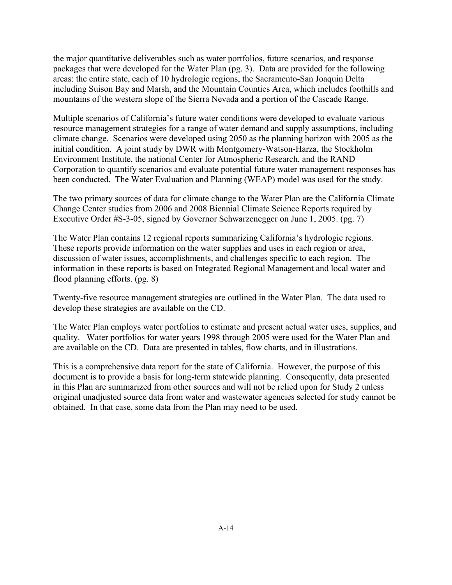the major quantitative deliverables such as water portfolios, future scenarios, and response packages that were developed for the Water Plan (pg. 3). Data are provided for the following areas: the entire state, each of 10 hydrologic regions, the Sacramento-San Joaquin Delta including Suison Bay and Marsh, and the Mountain Counties Area, which includes foothills and mountains of the western slope of the Sierra Nevada and a portion of the Cascade Range.

Multiple scenarios of California's future water conditions were developed to evaluate various resource management strategies for a range of water demand and supply assumptions, including climate change. Scenarios were developed using 2050 as the planning horizon with 2005 as the initial condition. A joint study by DWR with Montgomery-Watson-Harza, the Stockholm Environment Institute, the national Center for Atmospheric Research, and the RAND Corporation to quantify scenarios and evaluate potential future water management responses has been conducted. The Water Evaluation and Planning (WEAP) model was used for the study.

The two primary sources of data for climate change to the Water Plan are the California Climate Change Center studies from 2006 and 2008 Biennial Climate Science Reports required by Executive Order #S-3-05, signed by Governor Schwarzenegger on June 1, 2005. (pg. 7)

The Water Plan contains 12 regional reports summarizing California's hydrologic regions. These reports provide information on the water supplies and uses in each region or area, discussion of water issues, accomplishments, and challenges specific to each region. The information in these reports is based on Integrated Regional Management and local water and flood planning efforts. (pg. 8)

Twenty-five resource management strategies are outlined in the Water Plan. The data used to develop these strategies are available on the CD.

The Water Plan employs water portfolios to estimate and present actual water uses, supplies, and quality. Water portfolios for water years 1998 through 2005 were used for the Water Plan and are available on the CD. Data are presented in tables, flow charts, and in illustrations.

This is a comprehensive data report for the state of California. However, the purpose of this document is to provide a basis for long-term statewide planning. Consequently, data presented in this Plan are summarized from other sources and will not be relied upon for Study 2 unless original unadjusted source data from water and wastewater agencies selected for study cannot be obtained. In that case, some data from the Plan may need to be used.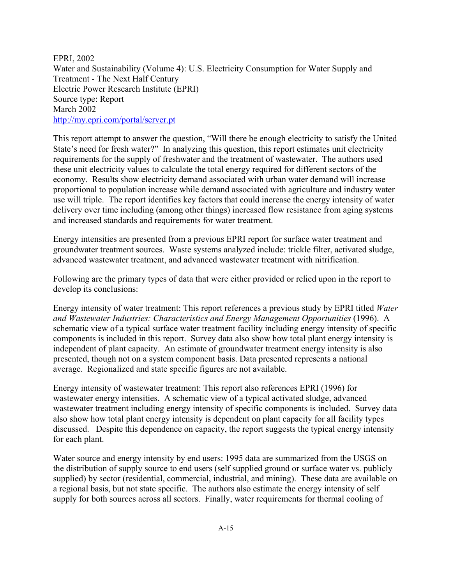EPRI, 2002 Water and Sustainability (Volume 4): U.S. Electricity Consumption for Water Supply and Treatment - The Next Half Century Electric Power Research Institute (EPRI) Source type: Report March 2002 <http://my.epri.com/portal/server.pt>

This report attempt to answer the question, "Will there be enough electricity to satisfy the United State's need for fresh water?" In analyzing this question, this report estimates unit electricity requirements for the supply of freshwater and the treatment of wastewater. The authors used these unit electricity values to calculate the total energy required for different sectors of the economy. Results show electricity demand associated with urban water demand will increase proportional to population increase while demand associated with agriculture and industry water use will triple. The report identifies key factors that could increase the energy intensity of water delivery over time including (among other things) increased flow resistance from aging systems and increased standards and requirements for water treatment.

Energy intensities are presented from a previous EPRI report for surface water treatment and groundwater treatment sources. Waste systems analyzed include: trickle filter, activated sludge, advanced wastewater treatment, and advanced wastewater treatment with nitrification.

Following are the primary types of data that were either provided or relied upon in the report to develop its conclusions:

Energy intensity of water treatment: This report references a previous study by EPRI titled *Water and Wastewater Industries: Characteristics and Energy Management Opportunities* (1996). A schematic view of a typical surface water treatment facility including energy intensity of specific components is included in this report. Survey data also show how total plant energy intensity is independent of plant capacity. An estimate of groundwater treatment energy intensity is also presented, though not on a system component basis. Data presented represents a national average. Regionalized and state specific figures are not available.

Energy intensity of wastewater treatment: This report also references EPRI (1996) for wastewater energy intensities. A schematic view of a typical activated sludge, advanced wastewater treatment including energy intensity of specific components is included. Survey data also show how total plant energy intensity is dependent on plant capacity for all facility types discussed. Despite this dependence on capacity, the report suggests the typical energy intensity for each plant.

Water source and energy intensity by end users: 1995 data are summarized from the USGS on the distribution of supply source to end users (self supplied ground or surface water vs. publicly supplied) by sector (residential, commercial, industrial, and mining). These data are available on a regional basis, but not state specific. The authors also estimate the energy intensity of self supply for both sources across all sectors. Finally, water requirements for thermal cooling of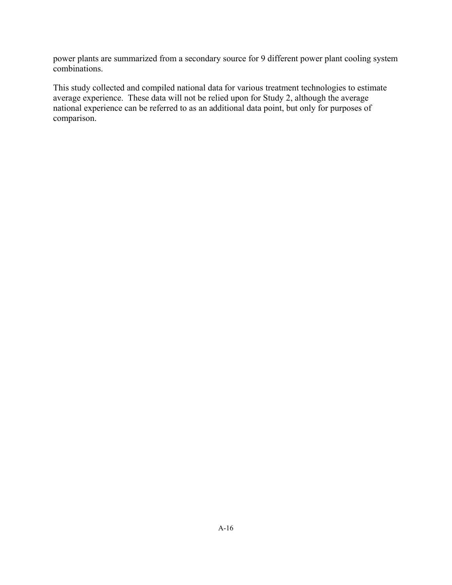power plants are summarized from a secondary source for 9 different power plant cooling system combinations.

This study collected and compiled national data for various treatment technologies to estimate average experience. These data will not be relied upon for Study 2, although the average national experience can be referred to as an additional data point, but only for purposes of comparison.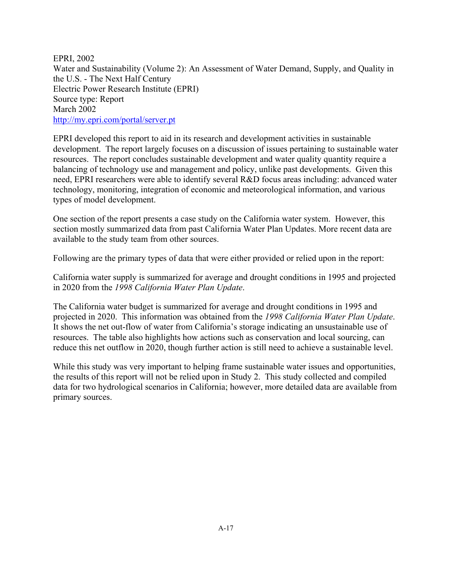EPRI, 2002 Water and Sustainability (Volume 2): An Assessment of Water Demand, Supply, and Quality in the U.S. - The Next Half Century Electric Power Research Institute (EPRI) Source type: Report March 2002 <http://my.epri.com/portal/server.pt>

EPRI developed this report to aid in its research and development activities in sustainable development. The report largely focuses on a discussion of issues pertaining to sustainable water resources. The report concludes sustainable development and water quality quantity require a balancing of technology use and management and policy, unlike past developments. Given this need, EPRI researchers were able to identify several R&D focus areas including: advanced water technology, monitoring, integration of economic and meteorological information, and various types of model development.

One section of the report presents a case study on the California water system. However, this section mostly summarized data from past California Water Plan Updates. More recent data are available to the study team from other sources.

Following are the primary types of data that were either provided or relied upon in the report:

California water supply is summarized for average and drought conditions in 1995 and projected in 2020 from the *1998 California Water Plan Update*.

The California water budget is summarized for average and drought conditions in 1995 and projected in 2020. This information was obtained from the *1998 California Water Plan Update*. It shows the net out-flow of water from California's storage indicating an unsustainable use of resources. The table also highlights how actions such as conservation and local sourcing, can reduce this net outflow in 2020, though further action is still need to achieve a sustainable level.

While this study was very important to helping frame sustainable water issues and opportunities, the results of this report will not be relied upon in Study 2. This study collected and compiled data for two hydrological scenarios in California; however, more detailed data are available from primary sources.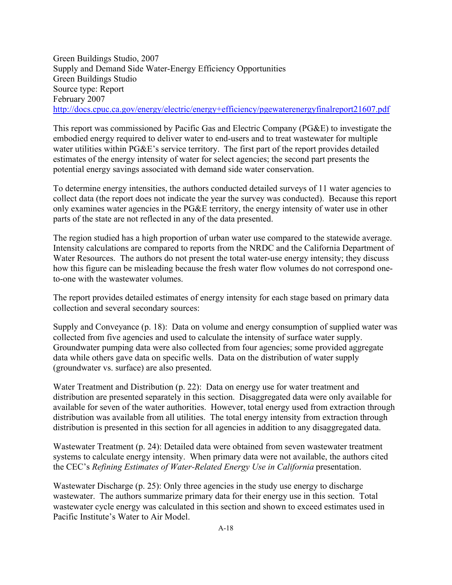Green Buildings Studio, 2007 Supply and Demand Side Water-Energy Efficiency Opportunities Green Buildings Studio Source type: Report February 2007 <http://docs.cpuc.ca.gov/energy/electric/energy+efficiency/pgewaterenergyfinalreport21607.pdf>

This report was commissioned by Pacific Gas and Electric Company (PG&E) to investigate the embodied energy required to deliver water to end-users and to treat wastewater for multiple water utilities within PG&E's service territory. The first part of the report provides detailed estimates of the energy intensity of water for select agencies; the second part presents the potential energy savings associated with demand side water conservation.

To determine energy intensities, the authors conducted detailed surveys of 11 water agencies to collect data (the report does not indicate the year the survey was conducted). Because this report only examines water agencies in the PG&E territory, the energy intensity of water use in other parts of the state are not reflected in any of the data presented.

The region studied has a high proportion of urban water use compared to the statewide average. Intensity calculations are compared to reports from the NRDC and the California Department of Water Resources. The authors do not present the total water-use energy intensity; they discuss how this figure can be misleading because the fresh water flow volumes do not correspond oneto-one with the wastewater volumes.

The report provides detailed estimates of energy intensity for each stage based on primary data collection and several secondary sources:

Supply and Conveyance (p. 18): Data on volume and energy consumption of supplied water was collected from five agencies and used to calculate the intensity of surface water supply. Groundwater pumping data were also collected from four agencies; some provided aggregate data while others gave data on specific wells. Data on the distribution of water supply (groundwater vs. surface) are also presented.

Water Treatment and Distribution (p. 22): Data on energy use for water treatment and distribution are presented separately in this section. Disaggregated data were only available for available for seven of the water authorities. However, total energy used from extraction through distribution was available from all utilities. The total energy intensity from extraction through distribution is presented in this section for all agencies in addition to any disaggregated data.

Wastewater Treatment (p. 24): Detailed data were obtained from seven wastewater treatment systems to calculate energy intensity. When primary data were not available, the authors cited the CEC's *Refining Estimates of Water-Related Energy Use in California* presentation.

Wastewater Discharge (p. 25): Only three agencies in the study use energy to discharge wastewater. The authors summarize primary data for their energy use in this section. Total wastewater cycle energy was calculated in this section and shown to exceed estimates used in Pacific Institute's Water to Air Model.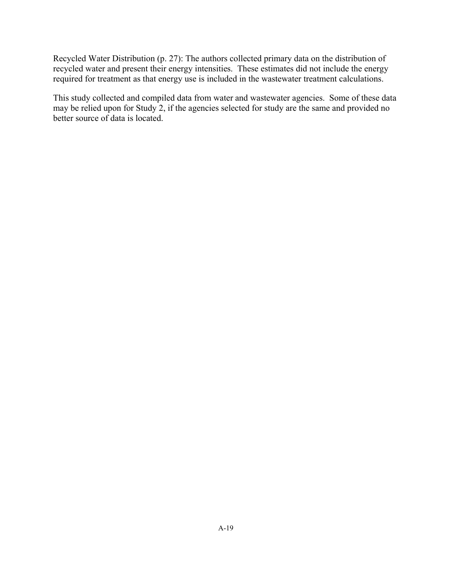Recycled Water Distribution (p. 27): The authors collected primary data on the distribution of recycled water and present their energy intensities. These estimates did not include the energy required for treatment as that energy use is included in the wastewater treatment calculations.

This study collected and compiled data from water and wastewater agencies. Some of these data may be relied upon for Study 2, if the agencies selected for study are the same and provided no better source of data is located.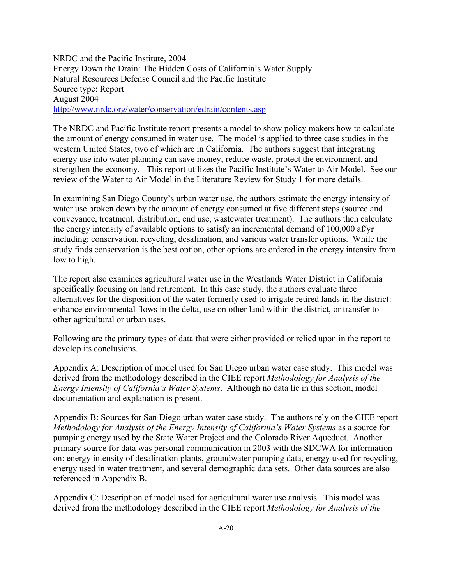NRDC and the Pacific Institute, 2004 Energy Down the Drain: The Hidden Costs of California's Water Supply Natural Resources Defense Council and the Pacific Institute Source type: Report August 2004 <http://www.nrdc.org/water/conservation/edrain/contents.asp>

The NRDC and Pacific Institute report presents a model to show policy makers how to calculate the amount of energy consumed in water use. The model is applied to three case studies in the western United States, two of which are in California. The authors suggest that integrating energy use into water planning can save money, reduce waste, protect the environment, and strengthen the economy. This report utilizes the Pacific Institute's Water to Air Model. See our review of the Water to Air Model in the Literature Review for Study 1 for more details.

In examining San Diego County's urban water use, the authors estimate the energy intensity of water use broken down by the amount of energy consumed at five different steps (source and conveyance, treatment, distribution, end use, wastewater treatment). The authors then calculate the energy intensity of available options to satisfy an incremental demand of 100,000 af/yr including: conservation, recycling, desalination, and various water transfer options. While the study finds conservation is the best option, other options are ordered in the energy intensity from low to high.

The report also examines agricultural water use in the Westlands Water District in California specifically focusing on land retirement. In this case study, the authors evaluate three alternatives for the disposition of the water formerly used to irrigate retired lands in the district: enhance environmental flows in the delta, use on other land within the district, or transfer to other agricultural or urban uses.

Following are the primary types of data that were either provided or relied upon in the report to develop its conclusions.

Appendix A: Description of model used for San Diego urban water case study. This model was derived from the methodology described in the CIEE report *Methodology for Analysis of the Energy Intensity of California's Water Systems*. Although no data lie in this section, model documentation and explanation is present.

Appendix B: Sources for San Diego urban water case study. The authors rely on the CIEE report *Methodology for Analysis of the Energy Intensity of California's Water Systems* as a source for pumping energy used by the State Water Project and the Colorado River Aqueduct. Another primary source for data was personal communication in 2003 with the SDCWA for information on: energy intensity of desalination plants, groundwater pumping data, energy used for recycling, energy used in water treatment, and several demographic data sets. Other data sources are also referenced in Appendix B.

Appendix C: Description of model used for agricultural water use analysis. This model was derived from the methodology described in the CIEE report *Methodology for Analysis of the*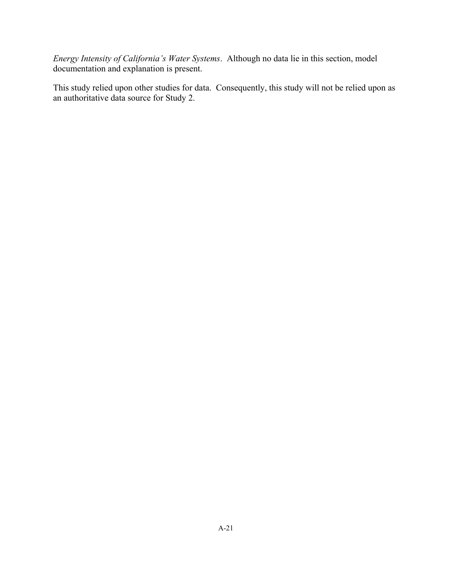*Energy Intensity of California's Water Systems*. Although no data lie in this section, model documentation and explanation is present.

This study relied upon other studies for data. Consequently, this study will not be relied upon as an authoritative data source for Study 2.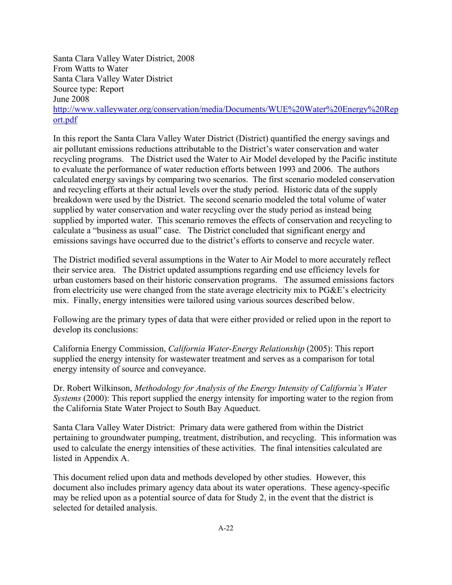Santa Clara Valley Water District, 2008 From Watts to Water Santa Clara Valley Water District Source type: Report June 2008 [http://www.valleywater.org/conservation/media/Documents/WUE%20Water%20Energy%20Rep](http://www.valleywater.org/conservation/media/Documents/WUE%20Water%20Energy%20Report.pdf) [ort.pdf](http://www.valleywater.org/conservation/media/Documents/WUE%20Water%20Energy%20Report.pdf)

In this report the Santa Clara Valley Water District (District) quantified the energy savings and air pollutant emissions reductions attributable to the District's water conservation and water recycling programs. The District used the Water to Air Model developed by the Pacific institute to evaluate the performance of water reduction efforts between 1993 and 2006. The authors calculated energy savings by comparing two scenarios. The first scenario modeled conservation and recycling efforts at their actual levels over the study period. Historic data of the supply breakdown were used by the District. The second scenario modeled the total volume of water supplied by water conservation and water recycling over the study period as instead being supplied by imported water. This scenario removes the effects of conservation and recycling to calculate a "business as usual" case. The District concluded that significant energy and emissions savings have occurred due to the district's efforts to conserve and recycle water.

The District modified several assumptions in the Water to Air Model to more accurately reflect their service area. The District updated assumptions regarding end use efficiency levels for urban customers based on their historic conservation programs. The assumed emissions factors from electricity use were changed from the state average electricity mix to PG&E's electricity mix. Finally, energy intensities were tailored using various sources described below.

Following are the primary types of data that were either provided or relied upon in the report to develop its conclusions:

California Energy Commission, *California Water-Energy Relationship* (2005): This report supplied the energy intensity for wastewater treatment and serves as a comparison for total energy intensity of source and conveyance.

Dr. Robert Wilkinson, *Methodology for Analysis of the Energy Intensity of California's Water Systems* (2000): This report supplied the energy intensity for importing water to the region from the California State Water Project to South Bay Aqueduct.

Santa Clara Valley Water District: Primary data were gathered from within the District pertaining to groundwater pumping, treatment, distribution, and recycling. This information was used to calculate the energy intensities of these activities. The final intensities calculated are listed in Appendix A.

This document relied upon data and methods developed by other studies. However, this document also includes primary agency data about its water operations. These agency-specific may be relied upon as a potential source of data for Study 2, in the event that the district is selected for detailed analysis.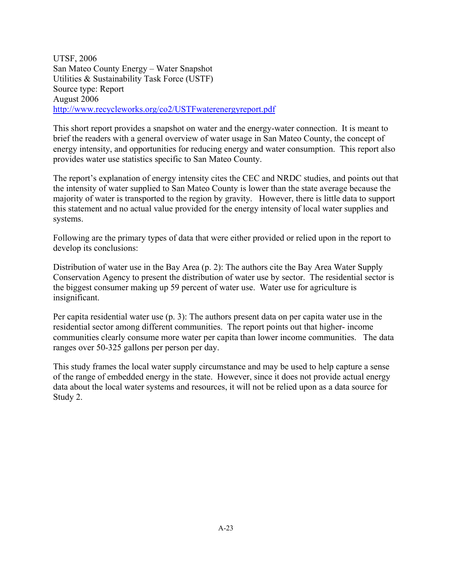UTSF, 2006 San Mateo County Energy – Water Snapshot Utilities & Sustainability Task Force (USTF) Source type: Report August 2006 <http://www.recycleworks.org/co2/USTFwaterenergyreport.pdf>

This short report provides a snapshot on water and the energy-water connection. It is meant to brief the readers with a general overview of water usage in San Mateo County, the concept of energy intensity, and opportunities for reducing energy and water consumption. This report also provides water use statistics specific to San Mateo County.

The report's explanation of energy intensity cites the CEC and NRDC studies, and points out that the intensity of water supplied to San Mateo County is lower than the state average because the majority of water is transported to the region by gravity. However, there is little data to support this statement and no actual value provided for the energy intensity of local water supplies and systems.

Following are the primary types of data that were either provided or relied upon in the report to develop its conclusions:

Distribution of water use in the Bay Area (p. 2): The authors cite the Bay Area Water Supply Conservation Agency to present the distribution of water use by sector. The residential sector is the biggest consumer making up 59 percent of water use. Water use for agriculture is insignificant.

Per capita residential water use (p. 3): The authors present data on per capita water use in the residential sector among different communities. The report points out that higher- income communities clearly consume more water per capita than lower income communities. The data ranges over 50-325 gallons per person per day.

This study frames the local water supply circumstance and may be used to help capture a sense of the range of embedded energy in the state. However, since it does not provide actual energy data about the local water systems and resources, it will not be relied upon as a data source for Study 2.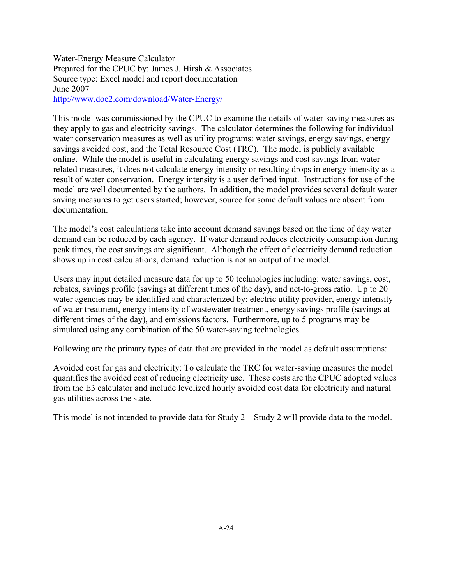Water-Energy Measure Calculator Prepared for the CPUC by: James J. Hirsh & Associates Source type: Excel model and report documentation June 2007 <http://www.doe2.com/download/Water-Energy/>

This model was commissioned by the CPUC to examine the details of water-saving measures as they apply to gas and electricity savings. The calculator determines the following for individual water conservation measures as well as utility programs: water savings, energy savings, energy savings avoided cost, and the Total Resource Cost (TRC). The model is publicly available online. While the model is useful in calculating energy savings and cost savings from water related measures, it does not calculate energy intensity or resulting drops in energy intensity as a result of water conservation. Energy intensity is a user defined input. Instructions for use of the model are well documented by the authors. In addition, the model provides several default water saving measures to get users started; however, source for some default values are absent from documentation.

The model's cost calculations take into account demand savings based on the time of day water demand can be reduced by each agency. If water demand reduces electricity consumption during peak times, the cost savings are significant. Although the effect of electricity demand reduction shows up in cost calculations, demand reduction is not an output of the model.

Users may input detailed measure data for up to 50 technologies including: water savings, cost, rebates, savings profile (savings at different times of the day), and net-to-gross ratio. Up to 20 water agencies may be identified and characterized by: electric utility provider, energy intensity of water treatment, energy intensity of wastewater treatment, energy savings profile (savings at different times of the day), and emissions factors. Furthermore, up to 5 programs may be simulated using any combination of the 50 water-saving technologies.

Following are the primary types of data that are provided in the model as default assumptions:

Avoided cost for gas and electricity: To calculate the TRC for water-saving measures the model quantifies the avoided cost of reducing electricity use. These costs are the CPUC adopted values from the E3 calculator and include levelized hourly avoided cost data for electricity and natural gas utilities across the state.

This model is not intended to provide data for Study 2 – Study 2 will provide data to the model.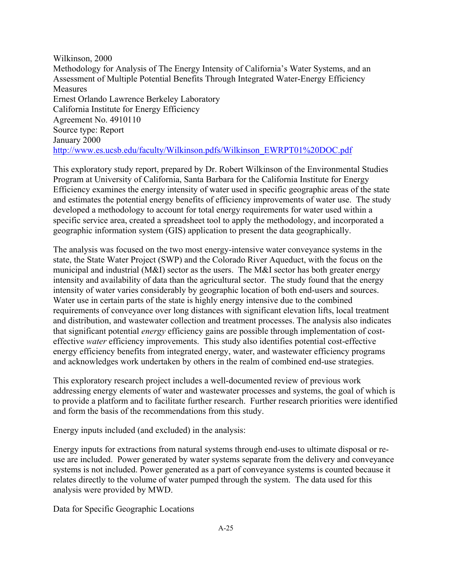Wilkinson, 2000 Methodology for Analysis of The Energy Intensity of California's Water Systems, and an Assessment of Multiple Potential Benefits Through Integrated Water-Energy Efficiency Measures Ernest Orlando Lawrence Berkeley Laboratory California Institute for Energy Efficiency Agreement No. 4910110 Source type: Report January 2000 [http://www.es.ucsb.edu/faculty/Wilkinson.pdfs/Wilkinson\\_EWRPT01%20DOC.pdf](http://www.es.ucsb.edu/faculty/Wilkinson.pdfs/Wilkinson_EWRPT01%20DOC.pdf)

This exploratory study report, prepared by Dr. Robert Wilkinson of the Environmental Studies Program at University of California, Santa Barbara for the California Institute for Energy Efficiency examines the energy intensity of water used in specific geographic areas of the state and estimates the potential energy benefits of efficiency improvements of water use. The study developed a methodology to account for total energy requirements for water used within a specific service area, created a spreadsheet tool to apply the methodology, and incorporated a geographic information system (GIS) application to present the data geographically.

The analysis was focused on the two most energy-intensive water conveyance systems in the state, the State Water Project (SWP) and the Colorado River Aqueduct, with the focus on the municipal and industrial (M&I) sector as the users. The M&I sector has both greater energy intensity and availability of data than the agricultural sector. The study found that the energy intensity of water varies considerably by geographic location of both end-users and sources. Water use in certain parts of the state is highly energy intensive due to the combined requirements of conveyance over long distances with significant elevation lifts, local treatment and distribution, and wastewater collection and treatment processes. The analysis also indicates that significant potential *energy* efficiency gains are possible through implementation of costeffective *water* efficiency improvements. This study also identifies potential cost-effective energy efficiency benefits from integrated energy, water, and wastewater efficiency programs and acknowledges work undertaken by others in the realm of combined end-use strategies.

This exploratory research project includes a well-documented review of previous work addressing energy elements of water and wastewater processes and systems, the goal of which is to provide a platform and to facilitate further research. Further research priorities were identified and form the basis of the recommendations from this study.

Energy inputs included (and excluded) in the analysis:

Energy inputs for extractions from natural systems through end-uses to ultimate disposal or reuse are included. Power generated by water systems separate from the delivery and conveyance systems is not included. Power generated as a part of conveyance systems is counted because it relates directly to the volume of water pumped through the system. The data used for this analysis were provided by MWD.

Data for Specific Geographic Locations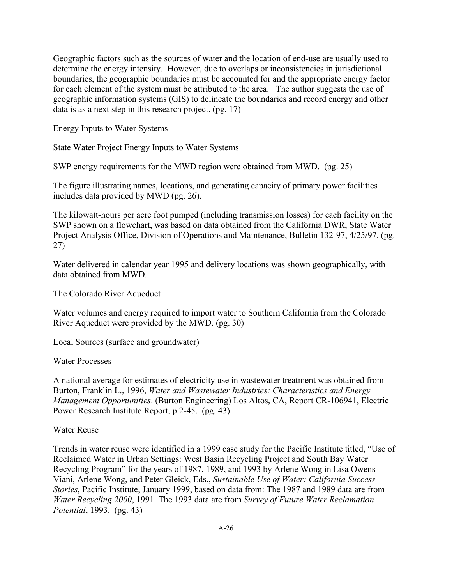Geographic factors such as the sources of water and the location of end-use are usually used to determine the energy intensity. However, due to overlaps or inconsistencies in jurisdictional boundaries, the geographic boundaries must be accounted for and the appropriate energy factor for each element of the system must be attributed to the area. The author suggests the use of geographic information systems (GIS) to delineate the boundaries and record energy and other data is as a next step in this research project. (pg. 17)

Energy Inputs to Water Systems

State Water Project Energy Inputs to Water Systems

SWP energy requirements for the MWD region were obtained from MWD. (pg. 25)

The figure illustrating names, locations, and generating capacity of primary power facilities includes data provided by MWD (pg. 26).

The kilowatt-hours per acre foot pumped (including transmission losses) for each facility on the SWP shown on a flowchart, was based on data obtained from the California DWR, State Water Project Analysis Office, Division of Operations and Maintenance, Bulletin 132-97, 4/25/97. (pg. 27)

Water delivered in calendar year 1995 and delivery locations was shown geographically, with data obtained from MWD.

The Colorado River Aqueduct

Water volumes and energy required to import water to Southern California from the Colorado River Aqueduct were provided by the MWD. (pg. 30)

Local Sources (surface and groundwater)

Water Processes

A national average for estimates of electricity use in wastewater treatment was obtained from Burton, Franklin L., 1996, *Water and Wastewater Industries: Characteristics and Energy Management Opportunities*. (Burton Engineering) Los Altos, CA, Report CR-106941, Electric Power Research Institute Report, p.2-45. (pg. 43)

Water Reuse

Trends in water reuse were identified in a 1999 case study for the Pacific Institute titled, "Use of Reclaimed Water in Urban Settings: West Basin Recycling Project and South Bay Water Recycling Program" for the years of 1987, 1989, and 1993 by Arlene Wong in Lisa Owens-Viani, Arlene Wong, and Peter Gleick, Eds., *Sustainable Use of Water: California Success Stories*, Pacific Institute, January 1999, based on data from: The 1987 and 1989 data are from *Water Recycling 2000*, 1991. The 1993 data are from *Survey of Future Water Reclamation Potential*, 1993. (pg. 43)